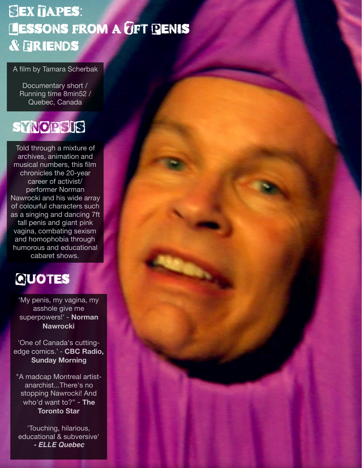### **SEX TAPES:** LESSONS FROM A GFT PENIS & Friends

#### A film by Tamara Scherbak

Documentary short / Running time 8min52 / Quebec, Canada

#### sYNOPSIS

Told through a mixture of archives, animation and musical numbers, this film chronicles the 20-year career of activist/ performer Norman Nawrocki and his wide array of colourful characters such as a singing and dancing 7ft tall penis and giant pink vagina, combating sexism and homophobia through humorous and educational cabaret shows.

#### **QUOTES**

'My penis, my vagina, my asshole give me superpowers!' - **Norman Nawrocki** 

'One of Canada's cuttingedge comics.' - **CBC Radio, Sunday Morning**

"A madcap Montreal artistanarchist...There's no stopping Nawrocki! And who'd want to?" - **The Toronto Star**

'Touching, hilarious, educational & subversive' *- ELLE Quebec*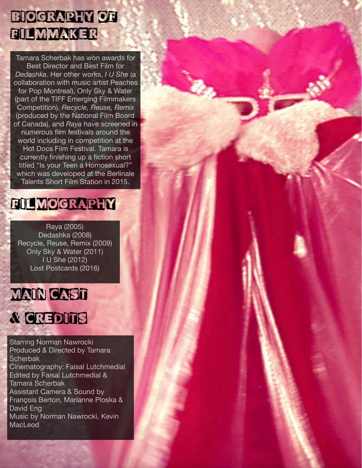#### BIOGRAPHY OF FILMMAKER

Tamara Scherbak has won awards for Best Director and Best Film for *Dedashka*. Her other works, *I U She* (a collaboration with music artist Peaches for Pop Montreal), Only Sky & Water (part of the TIFF Emerging Filmmakers Competition), *Recycle, Reuse, Remix*  (produced by the National Film Board of Canada), and *Raya* have screened in numerous film festivals around the world including in competition at the Hot Docs Film Festival. Tamara is currently finishing up a fiction short titled "Is your Teen a Homosexual?" which was developed at the Berlinale Talents Short Film Station in 2015.

#### FILMOGRAPHY

Raya (2005) Dedashka (2008) Recycle, Reuse, Remix (2009) Only Sky & Water (2011) I U She (2012) Lost Postcards (2016)



## & CREDITS

Starring Norman Nawrocki Produced & Directed by Tamara **Scherbak** Cinematography: Faisal Lutchmedial Edited by Faisal Lutchmedial & Tamara Scherbak Assistant Camera & Sound by François Berton, Marianne Ploska & David Eng Music by Norman Nawrocki, Kevin MacLeod